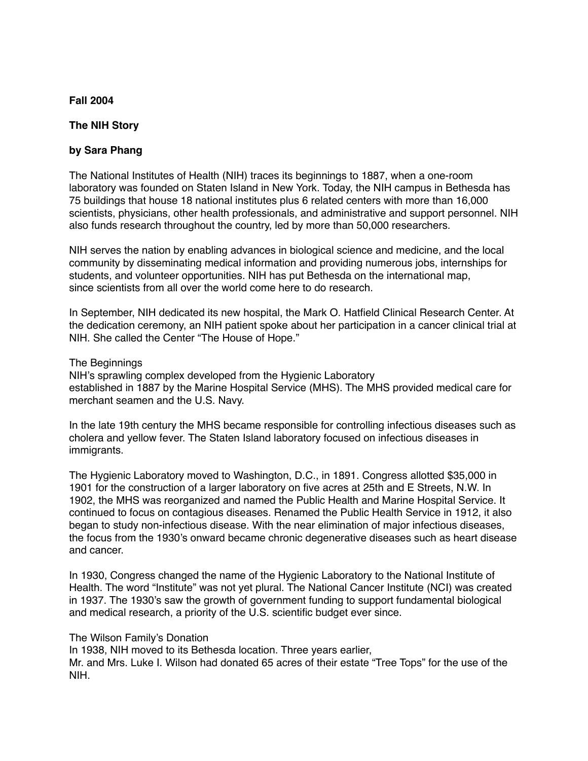## **Fall 2004**

### **The NIH Story**

## **by Sara Phang**

The National Institutes of Health (NIH) traces its beginnings to 1887, when a one-room laboratory was founded on Staten Island in New York. Today, the NIH campus in Bethesda has 75 buildings that house 18 national institutes plus 6 related centers with more than 16,000 scientists, physicians, other health professionals, and administrative and support personnel. NIH also funds research throughout the country, led by more than 50,000 researchers.

NIH serves the nation by enabling advances in biological science and medicine, and the local community by disseminating medical information and providing numerous jobs, internships for students, and volunteer opportunities. NIH has put Bethesda on the international map, since scientists from all over the world come here to do research.

In September, NIH dedicated its new hospital, the Mark O. Hatfield Clinical Research Center. At the dedication ceremony, an NIH patient spoke about her participation in a cancer clinical trial at NIH. She called the Center "The House of Hope."

The Beginnings

NIH's sprawling complex developed from the Hygienic Laboratory established in 1887 by the Marine Hospital Service (MHS). The MHS provided medical care for merchant seamen and the U.S. Navy.

In the late 19th century the MHS became responsible for controlling infectious diseases such as cholera and yellow fever. The Staten Island laboratory focused on infectious diseases in immigrants.

The Hygienic Laboratory moved to Washington, D.C., in 1891. Congress allotted \$35,000 in 1901 for the construction of a larger laboratory on five acres at 25th and E Streets, N.W. In 1902, the MHS was reorganized and named the Public Health and Marine Hospital Service. It continued to focus on contagious diseases. Renamed the Public Health Service in 1912, it also began to study non-infectious disease. With the near elimination of major infectious diseases, the focus from the 1930's onward became chronic degenerative diseases such as heart disease and cancer.

In 1930, Congress changed the name of the Hygienic Laboratory to the National Institute of Health. The word "Institute" was not yet plural. The National Cancer Institute (NCI) was created in 1937. The 1930's saw the growth of government funding to support fundamental biological and medical research, a priority of the U.S. scientific budget ever since.

The Wilson Family's Donation

In 1938, NIH moved to its Bethesda location. Three years earlier,

Mr. and Mrs. Luke I. Wilson had donated 65 acres of their estate "Tree Tops" for the use of the NIH.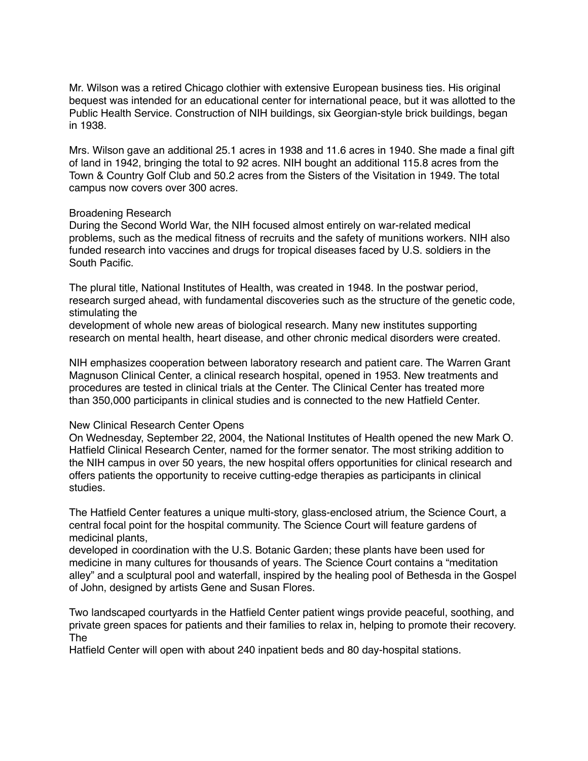Mr. Wilson was a retired Chicago clothier with extensive European business ties. His original bequest was intended for an educational center for international peace, but it was allotted to the Public Health Service. Construction of NIH buildings, six Georgian-style brick buildings, began in 1938.

Mrs. Wilson gave an additional 25.1 acres in 1938 and 11.6 acres in 1940. She made a final gift of land in 1942, bringing the total to 92 acres. NIH bought an additional 115.8 acres from the Town & Country Golf Club and 50.2 acres from the Sisters of the Visitation in 1949. The total campus now covers over 300 acres.

### Broadening Research

During the Second World War, the NIH focused almost entirely on war-related medical problems, such as the medical fitness of recruits and the safety of munitions workers. NIH also funded research into vaccines and drugs for tropical diseases faced by U.S. soldiers in the South Pacific.

The plural title, National Institutes of Health, was created in 1948. In the postwar period, research surged ahead, with fundamental discoveries such as the structure of the genetic code, stimulating the

development of whole new areas of biological research. Many new institutes supporting research on mental health, heart disease, and other chronic medical disorders were created.

NIH emphasizes cooperation between laboratory research and patient care. The Warren Grant Magnuson Clinical Center, a clinical research hospital, opened in 1953. New treatments and procedures are tested in clinical trials at the Center. The Clinical Center has treated more than 350,000 participants in clinical studies and is connected to the new Hatfield Center.

#### New Clinical Research Center Opens

On Wednesday, September 22, 2004, the National Institutes of Health opened the new Mark O. Hatfield Clinical Research Center, named for the former senator. The most striking addition to the NIH campus in over 50 years, the new hospital offers opportunities for clinical research and offers patients the opportunity to receive cutting-edge therapies as participants in clinical studies.

The Hatfield Center features a unique multi-story, glass-enclosed atrium, the Science Court, a central focal point for the hospital community. The Science Court will feature gardens of medicinal plants,

developed in coordination with the U.S. Botanic Garden; these plants have been used for medicine in many cultures for thousands of years. The Science Court contains a "meditation alley" and a sculptural pool and waterfall, inspired by the healing pool of Bethesda in the Gospel of John, designed by artists Gene and Susan Flores.

Two landscaped courtyards in the Hatfield Center patient wings provide peaceful, soothing, and private green spaces for patients and their families to relax in, helping to promote their recovery. The

Hatfield Center will open with about 240 inpatient beds and 80 day-hospital stations.